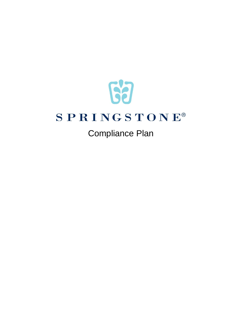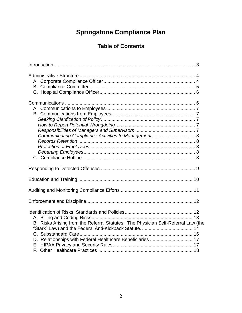# **Springstone Compliance Plan**

## **Table of Contents**

| Communicating Compliance Activities to Management  8                                                                                            |
|-------------------------------------------------------------------------------------------------------------------------------------------------|
|                                                                                                                                                 |
|                                                                                                                                                 |
|                                                                                                                                                 |
|                                                                                                                                                 |
| B. Risks Arising from the Referral Statutes: The Physician Self-Referral Law (the<br>D. Relationships with Federal Healthcare Beneficiaries  17 |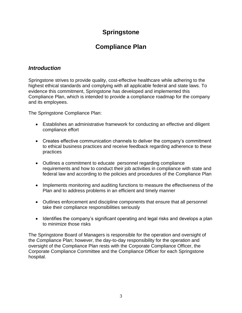## **Springstone**

## **Compliance Plan**

## <span id="page-2-0"></span>*Introduction*

Springstone strives to provide quality, cost-effective healthcare while adhering to the highest ethical standards and complying with all applicable federal and state laws. To evidence this commitment, Springstone has developed and implemented this Compliance Plan, which is intended to provide a compliance roadmap for the company and its employees.

The Springstone Compliance Plan:

- Establishes an administrative framework for conducting an effective and diligent compliance effort
- Creates effective communication channels to deliver the company's commitment to ethical business practices and receive feedback regarding adherence to these practices
- Outlines a commitment to educate personnel regarding compliance requirements and how to conduct their job activities in compliance with state and federal law and according to the policies and procedures of the Compliance Plan
- Implements monitoring and auditing functions to measure the effectiveness of the Plan and to address problems in an efficient and timely manner
- Outlines enforcement and discipline components that ensure that all personnel take their compliance responsibilities seriously
- Identifies the company's significant operating and legal risks and develops a plan to minimize those risks

<span id="page-2-1"></span>The Springstone Board of Managers is responsible for the operation and oversight of the Compliance Plan; however, the day-to-day responsibility for the operation and oversight of the Compliance Plan rests with the Corporate Compliance Officer, the Corporate Compliance Committee and the Compliance Officer for each Springstone hospital.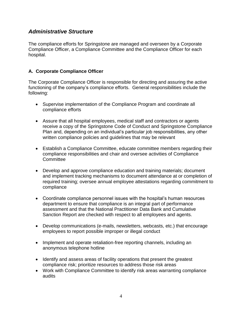### *Administrative Structure*

The compliance efforts for Springstone are managed and overseen by a Corporate Compliance Officer, a Compliance Committee and the Compliance Officer for each hospital.

#### <span id="page-3-0"></span>**A. Corporate Compliance Officer**

The Corporate Compliance Officer is responsible for directing and assuring the active functioning of the company's compliance efforts. General responsibilities include the following:

- Supervise implementation of the Compliance Program and coordinate all compliance efforts
- Assure that all hospital employees, medical staff and contractors or agents receive a copy of the Springstone Code of Conduct and Springstone Compliance Plan and, depending on an individual's particular job responsibilities, any other written compliance policies and guidelines that may be relevant
- Establish a Compliance Committee, educate committee members regarding their compliance responsibilities and chair and oversee activities of Compliance **Committee**
- Develop and approve compliance education and training materials; document and implement tracking mechanisms to document attendance at or completion of required training; oversee annual employee attestations regarding commitment to compliance
- Coordinate compliance personnel issues with the hospital's human resources department to ensure that compliance is an integral part of performance assessment and that the National Practitioner Data Bank and Cumulative Sanction Report are checked with respect to all employees and agents.
- Develop communications (e-mails, newsletters, webcasts, etc.) that encourage employees to report possible improper or illegal conduct
- Implement and operate retaliation-free reporting channels, including an anonymous telephone hotline
- Identify and assess areas of facility operations that present the greatest compliance risk; prioritize resources to address those risk areas
- Work with Compliance Committee to identify risk areas warranting compliance audits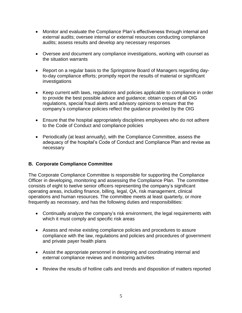- Monitor and evaluate the Compliance Plan's effectiveness through internal and external audits; oversee internal or external resources conducting compliance audits; assess results and develop any necessary responses
- Oversee and document any compliance investigations, working with counsel as the situation warrants
- Report on a regular basis to the Springstone Board of Managers regarding dayto-day compliance efforts; promptly report the results of material or significant investigations
- Keep current with laws, regulations and policies applicable to compliance in order to provide the best possible advice and guidance; obtain copies of all OIG regulations, special fraud alerts and advisory opinions to ensure that the company's compliance policies reflect the guidance provided by the OIG
- Ensure that the hospital appropriately disciplines employees who do not adhere to the Code of Conduct and compliance policies
- Periodically (at least annually), with the Compliance Committee, assess the adequacy of the hospital's Code of Conduct and Compliance Plan and revise as necessary

#### <span id="page-4-0"></span>**B. Corporate Compliance Committee**

The Corporate Compliance Committee is responsible for supporting the Compliance Officer in developing, monitoring and assessing the Compliance Plan. The committee consists of eight to twelve senior officers representing the company's significant operating areas, including finance, billing, legal, QA, risk management, clinical operations and human resources. The committee meets at least quarterly, or more frequently as necessary, and has the following duties and responsibilities:

- Continually analyze the company's risk environment, the legal requirements with which it must comply and specific risk areas
- Assess and revise existing compliance policies and procedures to assure compliance with the law, regulations and policies and procedures of government and private payer health plans
- Assist the appropriate personnel in designing and coordinating internal and external compliance reviews and monitoring activities
- Review the results of hotline calls and trends and disposition of matters reported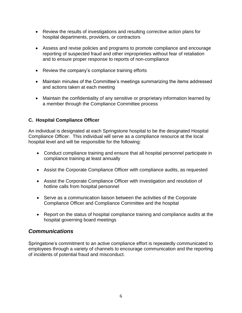- Review the results of investigations and resulting corrective action plans for hospital departments, providers, or contractors
- Assess and revise policies and programs to promote compliance and encourage reporting of suspected fraud and other improprieties without fear of retaliation and to ensure proper response to reports of non-compliance
- Review the company's compliance training efforts
- Maintain minutes of the Committee's meetings summarizing the items addressed and actions taken at each meeting
- Maintain the confidentiality of any sensitive or proprietary information learned by a member through the Compliance Committee process

### **C. Hospital Compliance Officer**

An individual is designated at each Springstone hospital to be the designated Hospital Compliance Officer. This individual will serve as a compliance resource at the local hospital level and will be responsible for the following:

- Conduct compliance training and ensure that all hospital personnel participate in compliance training at least annually
- Assist the Corporate Compliance Officer with compliance audits, as requested
- Assist the Corporate Compliance Officer with investigation and resolution of hotline calls from hospital personnel
- Serve as a communication liaison between the activities of the Corporate Compliance Officer and Compliance Committee and the hospital
- Report on the status of hospital compliance training and compliance audits at the hospital governing board meetings

## <span id="page-5-0"></span>*Communications*

<span id="page-5-1"></span>Springstone's commitment to an active compliance effort is repeatedly communicated to employees through a variety of channels to encourage communication and the reporting of incidents of potential fraud and misconduct.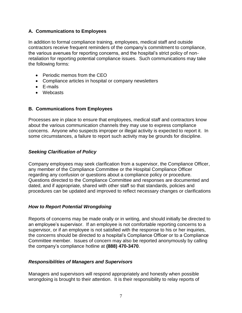#### **A. Communications to Employees**

In addition to formal compliance training, employees, medical staff and outside contractors receive frequent reminders of the company's commitment to compliance, the various avenues for reporting concerns, and the hospital's strict policy of nonretaliation for reporting potential compliance issues. Such communications may take the following forms:

- Periodic memos from the CEO
- Compliance articles in hospital or company newsletters
- E-mails
- Webcasts

#### <span id="page-6-0"></span>**B. Communications from Employees**

Processes are in place to ensure that employees, medical staff and contractors know about the various communication channels they may use to express compliance concerns. Anyone who suspects improper or illegal activity is expected to report it. In some circumstances, a failure to report such activity may be grounds for discipline.

#### <span id="page-6-1"></span>*Seeking Clarification of Policy*

Company employees may seek clarification from a supervisor, the Compliance Officer, any member of the Compliance Committee or the Hospital Compliance Officer regarding any confusion or questions about a compliance policy or procedure. Questions directed to the Compliance Committee and responses are documented and dated, and if appropriate, shared with other staff so that standards, policies and procedures can be updated and improved to reflect necessary changes or clarifications

#### <span id="page-6-2"></span>*How to Report Potential Wrongdoing*

Reports of concerns may be made orally or in writing, and should initially be directed to an employee's supervisor. If an employee is not comfortable reporting concerns to a supervisor, or if an employee is not satisfied with the response to his or her inquiries, the concerns should be directed to a hospital's Compliance Officer or to a Compliance Committee member. Issues of concern may also be reported anonymously by calling the company's compliance hotline at **(888) 470-3470**.

#### <span id="page-6-3"></span>*Responsibilities of Managers and Supervisors*

Managers and supervisors will respond appropriately and honestly when possible wrongdoing is brought to their attention. It is their responsibility to relay reports of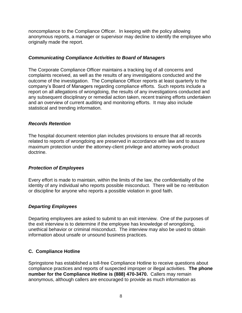noncompliance to the Compliance Officer. In keeping with the policy allowing anonymous reports, a manager or supervisor may decline to identify the employee who originally made the report.

#### <span id="page-7-0"></span>*Communicating Compliance Activities to Board of Managers*

The Corporate Compliance Officer maintains a tracking log of all concerns and complaints received, as well as the results of any investigations conducted and the outcome of the investigation. The Compliance Officer reports at least quarterly to the company's Board of Managers regarding compliance efforts. Such reports include a report on all allegations of wrongdoing, the results of any investigations conducted and any subsequent disciplinary or remedial action taken, recent training efforts undertaken and an overview of current auditing and monitoring efforts. It may also include statistical and trending information.

#### <span id="page-7-1"></span>*Records Retention*

The hospital document retention plan includes provisions to ensure that all records related to reports of wrongdoing are preserved in accordance with law and to assure maximum protection under the attorney-client privilege and attorney work-product doctrine.

#### <span id="page-7-2"></span>*Protection of Employees*

Every effort is made to maintain, within the limits of the law, the confidentiality of the identity of any individual who reports possible misconduct. There will be no retribution or discipline for anyone who reports a possible violation in good faith.

#### <span id="page-7-3"></span>*Departing Employees*

Departing employees are asked to submit to an exit interview. One of the purposes of the exit interview is to determine if the employee has knowledge of wrongdoing, unethical behavior or criminal misconduct. The interview may also be used to obtain information about unsafe or unsound business practices.

#### <span id="page-7-4"></span>**C. Compliance Hotline**

Springstone has established a toll-free Compliance Hotline to receive questions about compliance practices and reports of suspected improper or illegal activities. **The phone number for the Compliance Hotline is (888) 470-3470.** Callers may remain anonymous, although callers are encouraged to provide as much information as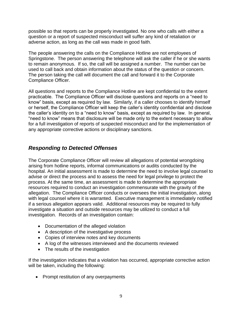possible so that reports can be properly investigated. No one who calls with either a question or a report of suspected misconduct will suffer any kind of retaliation or adverse action, as long as the call was made in good faith.

The people answering the calls on the Compliance Hotline are not employees of Springstone. The person answering the telephone will ask the caller if he or she wants to remain anonymous. If so, the call will be assigned a number. The number can be used to call back and obtain information about the status of the question or concern. The person taking the call will document the call and forward it to the Corporate Compliance Officer.

All questions and reports to the Compliance Hotline are kept confidential to the extent practicable. The Compliance Officer will disclose questions and reports on a "need to know" basis, except as required by law. Similarly, if a caller chooses to identify himself or herself, the Compliance Officer will keep the caller's identity confidential and disclose the caller's identity on to a "need to know" basis, except as required by law. In general, "need to know" means that disclosure will be made only to the extent necessary to allow for a full investigation of reports of suspected misconduct and for the implementation of any appropriate corrective actions or disciplinary sanctions.

## <span id="page-8-0"></span>*Responding to Detected Offenses*

The Corporate Compliance Officer will review all allegations of potential wrongdoing arising from hotline reports, informal communications or audits conducted by the hospital. An initial assessment is made to determine the need to involve legal counsel to advise or direct the process and to assess the need for legal privilege to protect the process. At the same time, an assessment is made to determine the appropriate resources required to conduct an investigation commensurate with the gravity of the allegation. The Compliance Officer conducts or oversees the initial investigation, along with legal counsel where it is warranted. Executive management is immediately notified if a serious allegation appears valid. Additional resources may be required to fully investigate a situation and outside resources may be utilized to conduct a full investigation. Records of an investigation contain:

- Documentation of the alleged violation
- A description of the investigative process
- Copies of interview notes and key documents
- A log of the witnesses interviewed and the documents reviewed
- The results of the investigation

If the investigation indicates that a violation has occurred, appropriate corrective action will be taken, including the following:

• Prompt restitution of any overpayments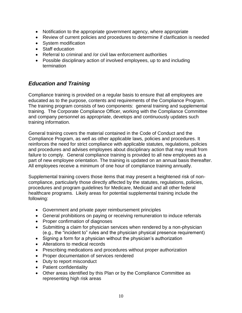- Notification to the appropriate government agency, where appropriate
- Review of current policies and procedures to determine if clarification is needed
- System modification
- Staff education
- Referral to criminal and /or civil law enforcement authorities
- Possible disciplinary action of involved employees, up to and including termination

## <span id="page-9-0"></span>*Education and Training*

Compliance training is provided on a regular basis to ensure that all employees are educated as to the purpose, contents and requirements of the Compliance Program. The training program consists of two components: general training and supplemental training. The Corporate Compliance Officer, working with the Compliance Committee and company personnel as appropriate, develops and continuously updates such training information.

General training covers the material contained in the Code of Conduct and the Compliance Program, as well as other applicable laws, policies and procedures. It reinforces the need for strict compliance with applicable statutes, regulations, policies and procedures and advises employees about disciplinary action that may result from failure to comply. General compliance training is provided to all new employees as a part of new employee orientation. The training is updated on an annual basis thereafter. All employees receive a minimum of one hour of compliance training annually.

Supplemental training covers those items that may present a heightened risk of noncompliance, particularly those directly affected by the statutes, regulations, policies, procedures and program guidelines for Medicare, Medicaid and all other federal healthcare programs. Likely areas for potential supplemental training include the following:

- Government and private payer reimbursement principles
- General prohibitions on paying or receiving remuneration to induce referrals
- Proper confirmation of diagnoses
- Submitting a claim for physician services when rendered by a non-physician (e.g., the "incident to" rules and the physician physical presence requirement)
- Signing a form for a physician without the physician's authorization
- Alterations to medical records
- Prescribing medications and procedures without proper authorization
- Proper documentation of services rendered
- Duty to report misconduct
- Patient confidentiality
- Other areas identified by this Plan or by the Compliance Committee as representing high risk areas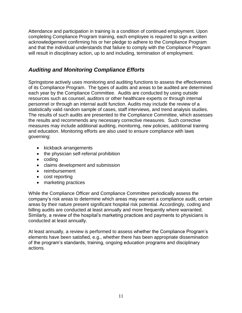Attendance and participation in training is a condition of continued employment. Upon completing Compliance Program training, each employee is required to sign a written acknowledgement confirming his or her pledge to adhere to the Compliance Program and that the individual understands that failure to comply with the Compliance Program will result in disciplinary action, up to and including, termination of employment.

## <span id="page-10-0"></span>*Auditing and Monitoring Compliance Efforts*

Springstone actively uses monitoring and auditing functions to assess the effectiveness of its Compliance Program. The types of audits and areas to be audited are determined each year by the Compliance Committee. Audits are conducted by using outside resources such as counsel, auditors or other healthcare experts or through internal personnel or through an internal audit function. Audits may include the review of a statistically valid random sample of cases, staff interviews, and trend analysis studies. The results of such audits are presented to the Compliance Committee, which assesses the results and recommends any necessary corrective measures. Such corrective measures may include additional auditing, monitoring, new policies, additional training and education. Monitoring efforts are also used to ensure compliance with laws governing:

- kickback arrangements
- the physician self-referral prohibition
- coding
- claims development and submission
- reimbursement
- cost reporting
- marketing practices

While the Compliance Officer and Compliance Committee periodically assess the company's risk areas to determine which areas may warrant a compliance audit, certain areas by their nature present significant hospital risk potential. Accordingly, coding and billing audits are conducted at least annually and more frequently where warranted. Similarly, a review of the hospital's marketing practices and payments to physicians is conducted at least annually.

<span id="page-10-1"></span>At least annually, a review is performed to assess whether the Compliance Program's elements have been satisfied, e.g., whether there has been appropriate dissemination of the program's standards, training, ongoing education programs and disciplinary actions.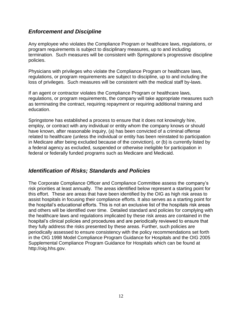### *Enforcement and Discipline*

Any employee who violates the Compliance Program or healthcare laws, regulations, or program requirements is subject to disciplinary measures, up to and including termination. Such measures will be consistent with Springstone's progressive discipline policies.

Physicians with privileges who violate the Compliance Program or healthcare laws, regulations, or program requirements are subject to discipline, up to and including the loss of privileges. Such measures will be consistent with the medical staff by-laws.

If an agent or contractor violates the Compliance Program or healthcare laws, regulations, or program requirements, the company will take appropriate measures such as terminating the contract, requiring repayment or requiring additional training and education.

Springstone has established a process to ensure that it does not knowingly hire, employ, or contract with any individual or entity whom the company knows or should have known, after reasonable inquiry, (a) has been convicted of a criminal offense related to healthcare (unless the individual or entity has been reinstated to participation in Medicare after being excluded because of the conviction), or (b) is currently listed by a federal agency as excluded, suspended or otherwise ineligible for participation in federal or federally funded programs such as Medicare and Medicaid.

## <span id="page-11-0"></span>*Identification of Risks; Standards and Policies*

<span id="page-11-1"></span>The Corporate Compliance Officer and Compliance Committee assess the company's risk priorities at least annually. The areas identified below represent a starting point for this effort. These are areas that have been identified by the OIG as high risk areas to assist hospitals in focusing their compliance efforts. It also serves as a starting point for the hospital's educational efforts. This is not an exclusive list of the hospitals risk areas and others will be identified over time. Detailed standard and policies for complying with the healthcare laws and regulations implicated by these risk areas are contained in the hospital's clinical policies and procedures and are periodically reviewed to ensure that they fully address the risks presented by these areas. Further, such policies are periodically assessed to ensure consistency with the policy recommendations set forth in the OIG 1998 Model Compliance Program Guidance for Hospitals and the OIG 2005 Supplemental Compliance Program Guidance for Hospitals which can be found at http://oig.hhs.gov.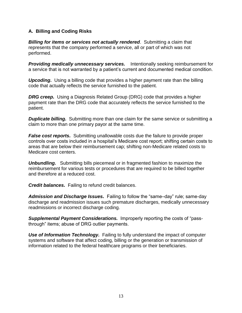#### **A. Billing and Coding Risks**

*Billing for items or services not actually rendered*. Submitting a claim that represents that the company performed a service, all or part of which was not performed.

*Providing medically unnecessary services.* Intentionally seeking reimbursement for a service that is not warranted by a patient's current and documented medical condition.

*Upcoding***.** Using a billing code that provides a higher payment rate than the billing code that actually reflects the service furnished to the patient.

*DRG creep.* Using a Diagnosis Related Group (DRG) code that provides a higher payment rate than the DRG code that accurately reflects the service furnished to the patient.

**Duplicate billing.** Submitting more than one claim for the same service or submitting a claim to more than one primary payor at the same time.

*False cost reports.* Submitting unallowable costs due the failure to provide proper controls over costs included in a hospital's Medicare cost report; shifting certain costs to areas that are below their reimbursement cap; shifting non-Medicare related costs to Medicare cost centers.

*Unbundling.* Submitting bills piecemeal or in fragmented fashion to maximize the reimbursement for various tests or procedures that are required to be billed together and therefore at a reduced cost.

*Credit balances.* Failing to refund credit balances.

*Admission and Discharge Issues.* Failing to follow the "same–day" rule; same-day discharge and readmission issues such premature discharges, medically unnecessary readmissions or incorrect discharge coding.

*Supplemental Payment Considerations.* Improperly reporting the costs of "passthrough" items; abuse of DRG outlier payments.

<span id="page-12-0"></span>**Use of Information Technology.** Failing to fully understand the impact of computer systems and software that affect coding, billing or the generation or transmission of information related to the federal healthcare programs or their beneficiaries.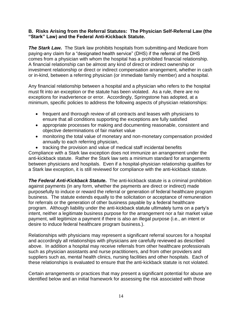#### **B. Risks Arising from the Referral Statutes: The Physician Self-Referral Law (the "Stark" Law) and the Federal Anti-Kickback Statute.**

*The Stark Law.*The Stark law prohibits hospitals from submitting-and Medicare from paying-any claim for a "designated health service" (DHS) if the referral of the DHS comes from a physician with whom the hospital has a prohibited financial relationship. A financial relationship can be almost any kind of direct or indirect ownership or investment relationship or direct or indirect compensation arrangement, whether in cash or in-kind, between a referring physician (or immediate family member) and a hospital.

Any financial relationship between a hospital and a physician who refers to the hospital must fit into an exception or the statute has been violated. As a rule, there are no exceptions for inadvertence or error. Accordingly, Springstone has adopted, at a minimum, specific policies to address the following aspects of physician relationships:

- frequent and thorough review of all contracts and leases with physicians to ensure that all conditions supporting the exceptions are fully satisfied
- appropriate processes for making and documenting reasonable, consistent and objective determinations of fair market value
- monitoring the total value of monetary and non-monetary compensation provided annually to each referring physician,
- tracking the provision and value of medical staff incidental benefits

Compliance with a Stark law exception does not immunize an arrangement under the anti-kickback statute. Rather the Stark law sets a minimum standard for arrangements between physicians and hospitals. Even if a hospital-physician relationship qualifies for a Stark law exception, it is still reviewed for compliance with the anti-kickback statute.

*The Federal Anti-Kickback Statute.* The anti-kickback statute is a criminal prohibition against payments (in any form, whether the payments are direct or indirect) made purposefully to induce or reward the referral or generation of federal healthcare program business. The statute extends equally to the solicitation or acceptance of remuneration for referrals or the generation of other business payable by a federal healthcare program. Although liability under the anti-kickback statute ultimately turns on a party's intent, neither a legitimate business purpose for the arrangement nor a fair market value payment, will legitimize a payment if there is also an illegal purpose (i.e., an intent or desire to induce federal healthcare program business.).

Relationships with physicians may represent a significant referral sources for a hospital and accordingly all relationships with physicians are carefully reviewed as described above. In addition a hospital may receive referrals from other healthcare professionals such as physician assistants and nurse practitioners, and from other providers and suppliers such as, mental health clinics, nursing facilities and other hospitals. Each of these relationships is evaluated to ensure that the anti-kickback statute is not violated.

Certain arrangements or practices that may present a significant potential for abuse are identified below and an initial framework for assessing the risk associated with those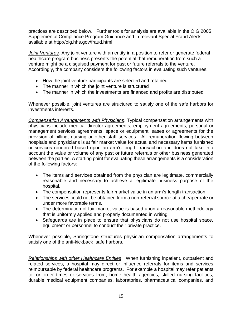practices are described below. Further tools for analysis are available in the OIG 2005 Supplemental Compliance Program Guidance and in relevant Special Fraud Alerts available at http://oig.hhs.gov/fraud.html.

*Joint Ventures.* Any joint venture with an entity in a position to refer or generate federal healthcare program business presents the potential that remuneration from such a venture might be a disguised payment for past or future referrals to the venture. Accordingly, the company considers the following factors in evaluating such ventures.

- How the joint venture participants are selected and retained
- The manner in which the joint venture is structured
- The manner in which the investments are financed and profits are distributed

Whenever possible, joint ventures are structured to satisfy one of the safe harbors for investments interests.

*Compensation Arrangements with Physicians*. Typical compensation arrangements with physicians include medical director agreements, employment agreements, personal or management services agreements, space or equipment leases or agreements for the provision of billing, nursing or other staff services. All remuneration flowing between hospitals and physicians is at fair market value for actual and necessary items furnished or services rendered based upon an arm's length transaction and does not take into account the value or volume of any past or future referrals or other business generated between the parties. A starting point for evaluating these arrangements is a consideration of the following factors:

- The items and services obtained from the physician are legitimate, commercially reasonable and necessary to achieve a legitimate business purpose of the hospital.
- The compensation represents fair market value in an arm's-length transaction.
- The services could not be obtained from a non-referral source at a cheaper rate or under more favorable terms.
- The determination of fair market value is based upon a reasonable methodology that is uniformly applied and properly documented in writing.
- Safeguards are in place to ensure that physicians do not use hospital space, equipment or personnel to conduct their private practice.

Whenever possible, Springstone structures physician compensation arrangements to satisfy one of the anti-kickback safe harbors.

*Relationships with other Healthcare Entities*. When furnishing inpatient, outpatient and related services, a hospital may direct or influence referrals for items and services reimbursable by federal healthcare programs. For example a hospital may refer patients to, or order times or services from, home health agencies, skilled nursing facilities, durable medical equipment companies, laboratories, pharmaceutical companies, and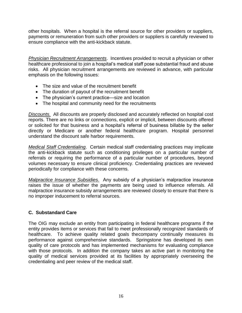other hospitals. When a hospital is the referral source for other providers or suppliers, payments or remuneration from such other providers or suppliers is carefully reviewed to ensure compliance with the anti-kickback statute.

*Physician Recruitment Arrangements*. Incentives provided to recruit a physician or other healthcare professional to join a hospital's medical staff pose substantial fraud and abuse risks. All physician recruitment arrangements are reviewed in advance, with particular emphasis on the following issues:

- The size and value of the recruitment benefit
- The duration of payout of the recruitment benefit
- The physician's current practice—size and location
- The hospital and community need for the recruitments

*Discounts.* All discounts are properly disclosed and accurately reflected on hospital cost reports. There are no links or connections, explicit or implicit, between discounts offered or solicited for that business and a hospital's referral of business billable by the seller directly or Medicare or another federal healthcare program. Hospital personnel understand the discount safe harbor requirements.

*Medical Staff Credentialing*. Certain medical staff credentialing practices may implicate the anti-kickback statute such as conditioning privileges on a particular number of referrals or requiring the performance of a particular number of procedures, beyond volumes necessary to ensure clinical proficiency. Credentialing practices are reviewed periodically for compliance with these concerns.

*Malpractice Insurance Subsidies*. Any subsidy of a physician's malpractice insurance raises the issue of whether the payments are being used to influence referrals. All malpractice insurance subsidy arrangements are reviewed closely to ensure that there is no improper inducement to referral sources.

#### <span id="page-15-0"></span>**C. Substandard Care**

The OIG may exclude an entity from participating in federal healthcare programs if the entity provides items or services that fail to meet professionally recognized standards of healthcare. To achieve quality related goals thecompany continually measures its performance against comprehensive standards. Springstone has developed its own quality of care protocols and has implemented mechanisms for evaluating compliance with those protocols. In addition the company takes an active part in monitoring the quality of medical services provided at its facilities by appropriately overseeing the credentialing and peer review of the medical staff.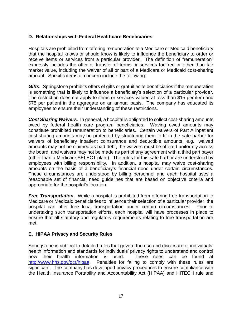#### <span id="page-16-0"></span>**D. Relationships with Federal Healthcare Beneficiaries**

Hospitals are prohibited from offering remuneration to a Medicare or Medicaid beneficiary that the hospital knows or should know is likely to influence the beneficiary to order or receive items or services from a particular provider. The definition of "remuneration" expressly includes the offer or transfer of terms or services for free or other than fair market value, including the waiver of all or part of a Medicare or Medicaid cost-sharing amount. Specific items of concern include the following:

*Gifts.* Springstone prohibits offers of gifts or gratuities to beneficiaries if the remuneration is something that is likely to influence a beneficiary's selection of a particular provider. The restriction does not apply to items or services valued at less than \$15 per item and \$75 per patient in the aggregate on an annual basis. The company has educated its employees to ensure their understanding of these restrictions.

*Cost Sharing Waivers*. In general, a hospital is obligated to collect cost-sharing amounts owed by federal health care program beneficiaries. Waving owed amounts may constitute prohibited remuneration to beneficiaries. Certain waivers of Part A inpatient cost-sharing amounts may be protected by structuring them to fit in the safe harbor for waivers of beneficiary inpatient coinsurance and deductible amounts, e.g., waived amounts may not be claimed as bad debt, the waivers must be offered uniformly across the board, and waivers may not be made as part of any agreement with a third part payer (other than a Medicare SELECT plan.) The rules for this safe harbor are understood by employees with billing responsibility. In addition, a hospital may waive cost-sharing amounts on the basis of a beneficiary's financial need under certain circumstances. These circumstances are understood by billing personnel and each hospital uses a reasonable set of financial need guidelines that are based on objective criteria and appropriate for the hospital's location.

*Free Transportation.* While a hospital is prohibited from offering free transportation to Medicare or Medicaid beneficiaries to influence their selection of a particular provider, the hospital can offer free local transportation under certain circumstances. Prior to undertaking such transportation efforts, each hospital will have processes in place to ensure that all statutory and regulatory requirements relating to free transportation are met.

#### <span id="page-16-1"></span>**E. HIPAA Privacy and Security Rules**

Springstone is subject to detailed rules that govern the use and disclosure of individuals' health information and standards for individuals' privacy rights to understand and control how their health information is used. These rules can be found at [http://www.hhs.gov/ocr/hipaa.](http://www.hhs.gov/ocr/hipaa) Penalties for failing to comply with these rules are significant. The company has developed privacy procedures to ensure compliance with the Health Insurance Portability and Accountability Act (HIPAA) and HITECH rule and